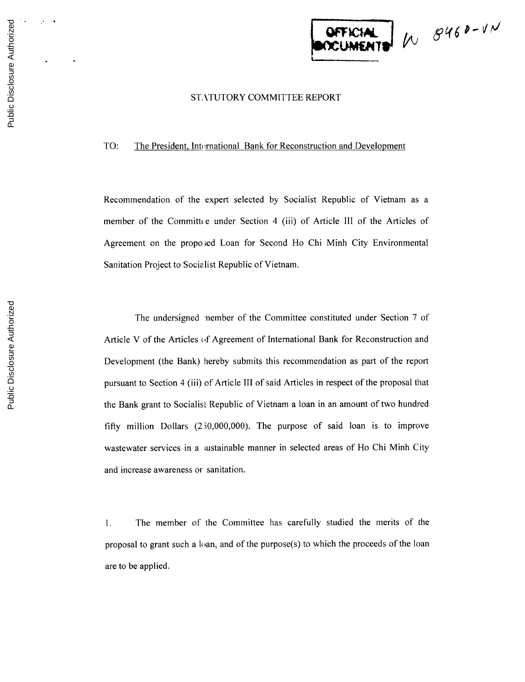

## **ST,** kTUTORY COMMITTEE REPORT

TO: The President, International Bank for Reconstruction and Development

Recommendation of the expert selected **by** Socialist Republic of Vietnam as a member of the Committee under Section 4 (iii) of Article III of the Articles of Agreement on the propo;ed Loan for Second Ho Chi Minh City Environmental Sanitation Project to Socialist Republic of Vietnam.

The undersigned nember of the Committee constituted under Section **7** of Article V of the Articles **of** Agreement of International Bank for Reconstruction and Development (the Bank) hereby submits this recommendation as part of the report pursuant to Section 4 (iii) of Article **III** of said Articles in respect of the proposal that the Bank grant to Socialist Republic of Vietnam a loan in an amount of two hundred **fifty** million Dollars (2 **50,000,000).** The purpose of said loan is to improve wastewater services in a ;ustainable manner in selected areas of Ho Chi Minh City and increase awareness or sanitation.

**1.** The member of the Committee has carefully studied the merits of the proposal to grant such a loan, and of the purpose(s) to which the proceeds of the loan are to be applied.